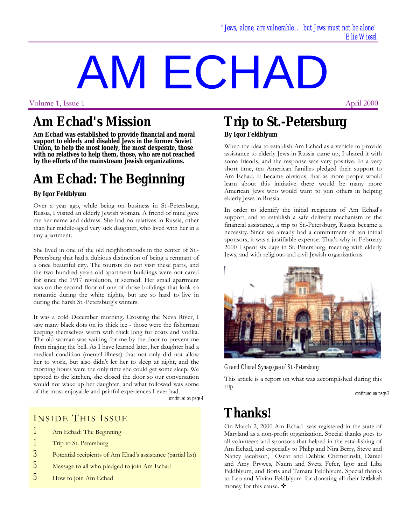# AM ECHAD

Volume 1, Issue 1

## **Am Echad's Mission**

**Am Echad was established to provide financial and moral support to elderly and disabled Jews in the former Soviet Union, to help the most lonely, the most desperate, those with no relatives to help them, those, who are not reached by the efforts of the mainstream Jewish organizations.**

# **Am Echad: The Beginning**

#### **By Igor Feldblyum**

Over a year ago, while being on business in St.-Petersburg, Russia, I visited an elderly Jewish woman. A friend of mine gave me her name and address. She had no relatives in Russia, other than her middle-aged very sick daughter, who lived with her in a tiny apartment.

She lived in one of the old neighborhoods in the center of St.- Petersburg that had a dubious distinction of being a remnant of a once beautiful city. The tourists do not visit these parts, and the two hundred years old apartment buildings were not cared for since the 1917 revolution, it seemed. Her small apartment was on the second floor of one of those buildings that look so romantic during the white nights, but are so hard to live in during the harsh St.-Petersburg's winters.

It was a cold December morning. Crossing the Neva River, I saw many black dots on its thick ice - those were the fisherman keeping themselves warm with thick long fur coats and vodka. The old woman was waiting for me by the door to prevent me from ringing the bell. As I have learned later, her daughter had a medical condition (mental illness) that not only did not allow her to work, but also didn't let her to sleep at night, and the morning hours were the only time she could get some sleep. We tiptoed to the kitchen, she closed the door so our conversation would not wake up her daughter, and what followed was some of the most enjoyable and painful experiences I ever had.

*continued on page 4*

#### INSIDE THIS ISSUE

- *1* Am Echad: The Beginning
- *1* Trip to St. Petersburg
- *3* Potential recipients of Am Ehad's assistance (partial list)
- *5* Message to all who pledged to join Am Echad
- *5* How to join Am Echad

## **Trip to St.-Petersburg By Igor Feldblyum**

When the idea to establish Am Echad as a vehicle to provide assistance to elderly Jews in Russia came up, I shared it with some friends, and the response was very positive. In a very short time, ten American families pledged their support to Am Echad. It became obvious, that as more people would learn about this initiative there would be many more American Jews who would want to join others in helping elderly Jews in Russia.

In order to identify the initial recipients of Am Echad's support, and to establish a safe delivery mechanism of the financial assistance, a trip to St.-Petersburg, Russia became a necessity. Since we already had a commitment of ten initial sponsors, it was a justifiable expense. That's why in February 2000 I spent six days in St.-Petersburg, meeting with elderly Jews, and with religious and civil Jewish organizations.



*Grand Choral Synagogue of St.-Petersburg*

This article is a report on what was accomplished during this trip.

*continued on page 2*

# **Thanks!**

On March 2, 2000 Am Echad was registered in the state of Maryland as a non-profit organization. Special thanks goes to all volunteers and sponsors that helped in the establishing of Am Echad, and especially to Philip and Nira Berry, Steve and Nancy Jacobson, Oscar and Debbie Chemerinski, Daniel and Amy Prywes, Naum and Sveta Fefer, Igor and Liba Feldblyum, and Boris and Tamara Feldblyum. Special thanks to Leo and Vivian Feldblyum for donating all their *tzedakah* money for this cause.  $\mathbf{\hat{\cdot}}$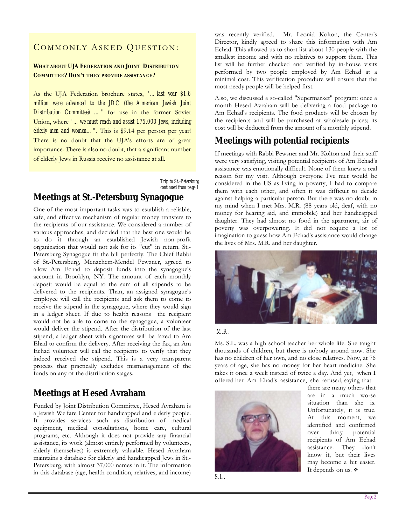#### COMMONLY ASKED QUESTION:

#### **WHAT ABOUT UJA FEDERATION AND JOINT DISTRIBUTION COMMITTEE? DON'T THEY PROVIDE ASSISTANCE?**

As the UJA Federation brochure states, *"…last year \$1.6 million were advanced to the JDC (the American Jewish Joint Distribution Committee) …"* for use in the former Soviet Union, where *"…we must reach and assist 175,000 Jews, including elderly men and women...".* This is \$9.14 per person per year! There is no doubt that the UJA's efforts are of great importance. There is also no doubt, that a significant number of elderly Jews in Russia receive no assistance at all.

> *Trip to St.-Petersburg continued from page 1*

#### **Meetings at St.-Petersburg Synagogue**

One of the most important tasks was to establish a reliable, safe, and effective mechanism of regular money transfers to the recipients of our assistance. We considered a number of various approaches, and decided that the best one would be to do it through an established Jewish non-profit organization that would not ask for its "cut" in return. St.- Petersburg Synagogue fit the bill perfectly. The Chief Rabbi of St.-Petersburg, Menachem-Mendel Pewzner, agreed to allow Am Echad to deposit funds into the synagogue's account in Brooklyn, NY. The amount of each monthly deposit would be equal to the sum of all stipends to be delivered to the recipients. Than, an assigned synagogue's employee will call the recipients and ask them to come to receive the stipend in the synagogue, where they would sign in a ledger sheet. If due to health reasons the recipient would not be able to come to the synagogue, a volunteer would deliver the stipend. After the distribution of the last stipend, a ledger sheet with signatures will be faxed to Am Ehad to confirm the delivery. After receiving the fax, an Am Echad volunteer will call the recipients to verify that they indeed received the stipend. This is a very transparent process that practically excludes mismanagement of the funds on any of the distribution stages.

## **Meetings at Hesed Avraham**

Funded by Joint Distribution Committee, Hesed Avraham is a Jewish Welfare Center for handicapped and elderly people. It provides services such as distribution of medical equipment, medical consultations, home care, cultural programs, etc. Although it does not provide any financial assistance, its work (almost entirely performed by volunteers, elderly themselves) is extremely valuable. Hesed Avraham maintains a database for elderly and handicapped Jews in St.- Petersburg, with almost 37,000 names in it. The information in this database (age, health condition, relatives, and income) was recently verified. Mr. Leonid Kolton, the Center's Director, kindly agreed to share this information with Am Echad. This allowed us to short list about 130 people with the smallest income and with no relatives to support them. This list will be further checked and verified by in-house visits performed by two people employed by Am Echad at a minimal cost. This verification procedure will ensure that the most needy people will be helped first.

Also, we discussed a so-called "Supermarket" program: once a month Hesed Avraham will be delivering a food package to Am Echad's recipients. The food products will be chosen by the recipients and will be purchased at wholesale prices; its cost will be deducted from the amount of a monthly stipend.

#### **Meetings with potential recipients**

If meetings with Rabbi Pewsner and Mr. Kolton and their staff were very satisfying, visiting potential recipients of Am Echad's assistance was emotionally difficult. None of them knew a real reason for my visit. Although everyone I've met would be considered in the US as living in poverty, I had to compare them with each other, and often it was difficult to decide against helping a particular person. But there was no doubt in my mind when I met Mrs. M.R. (88 years old, deaf, with no money for hearing aid, and immobile) and her handicapped daughter. They had almost no food in the apartment, air of poverty was overpowering. It did not require a lot of imagination to guess how Am Echad's assistance would change the lives of Mrs. M.R. and her daughter.



#### *M.R.*

Ms. S.L. was a high school teacher her whole life. She taught thousands of children, but there is nobody around now. She has no children of her own, and no close relatives. Now, at 76 years of age, she has no money for her heart medicine. She takes it once a week instead of twice a day. And yet, when I offered her Am Ehad's assistance, she refused, saying that



there are many others that are in a much worse situation than she is. Unfortunately, it is true. At this moment, we identified and confirmed over thirty potential recipients of Am Echad assistance. They don't know it, but their lives may become a bit easier. It depends on us. ❖

*S.L.*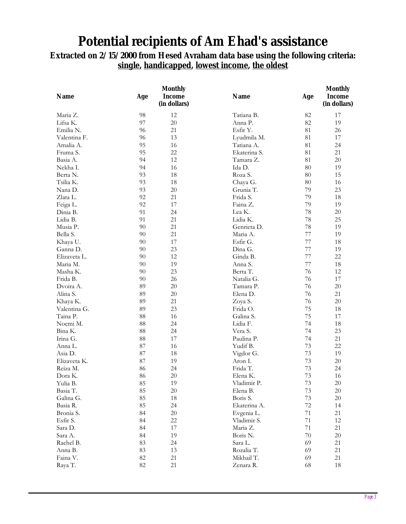## **Potential recipients of Am Ehad's assistance**

## **Extracted on 2/15/2000 from Hesed Avraham data base using the following criteria: single, handicapped, lowest income, the oldest**

| <b>Name</b>        | Age | <b>Monthly</b><br><b>Income</b><br>(in dollars) | <b>Name</b>             | Age    | <b>Monthly</b><br><b>Income</b><br>(in dollars) |
|--------------------|-----|-------------------------------------------------|-------------------------|--------|-------------------------------------------------|
| Maria Z.           | 98  | 12                                              | Tatiana B.              | 82     | 17                                              |
| Lifsa K.           | 97  | $20\,$                                          | Anna P.                 | 82     | 19                                              |
| Emilia N.          | 96  | 21                                              | Esfir Y.                | 81     | 26                                              |
| Valentina F.       | 96  | 13                                              | Lyudmila M.             | 81     | 17                                              |
| Amalia A.          | 95  | 16                                              | Tatiana A.              | 81     | 24                                              |
| Fruma S.           | 95  | 22                                              | Ekaterina S.            | 81     | 21                                              |
| Basia A.           | 94  | 12                                              | Tamara Z.               | 81     | $20\,$                                          |
| Nekha I.           | 94  | 16                                              | Ida D.                  | 80     | 19                                              |
| Berta N.           | 93  | 18                                              | Roza S.                 | 80     | 15                                              |
| Tsilia K.          | 93  | 18                                              | Chaya G.                | 80     | 16                                              |
| Nana D.            | 93  | $20\,$                                          | Grunia T.               | 79     | 23                                              |
| Zlata L.           | 92  | 21                                              | Frida S.                | 79     | 18                                              |
| Feiga L.           | 92  | 17                                              | Faina Z.                | 79     | 19                                              |
| Dinia B.           | 91  | 24                                              | Lea K.                  | 78     | $20\,$                                          |
| Lidia B.           | 91  | 21                                              | Lidia K.                | 78     | 25                                              |
| Musia P.           | 90  | 21                                              | Genrieta D.             | 78     | 19                                              |
| Bella S.           | 90  | 21                                              | Maria A.                | 77     | 19                                              |
| Khaya U.           | 90  | 17                                              | Esfir G.                | 77     | 18                                              |
| Ganna D.           | 90  | 23                                              | Dina G.                 | 77     | 19                                              |
| Elizaveta L.       | 90  | 12                                              | Ginda B.                | 77     | 22                                              |
| Maria M.           | 90  | 19                                              | Anna S.                 | 77     | 18                                              |
| Masha K.           | 90  | 23                                              | Berta T.                | 76     | 12                                              |
| Frida B.           | 90  | 26                                              | Natalia G.              | 76     | 17                                              |
| Dvoira A.          | 89  | 20                                              | Tamara P.               | 76     | $20\,$                                          |
| Alina S.           | 89  | $20\,$                                          | Elena D.                | 76     | 21                                              |
| Khaya K.           | 89  | 21                                              | Zoya S.                 | 76     | $20\,$                                          |
| Valentina G.       | 89  | 23                                              | Frida O.                | 75     | 18                                              |
| Taina P.           | 88  | 16                                              | Galina S.               | 75     | 17                                              |
| Noemi M.           | 88  | 24                                              | Lidia F.                | 74     | 18                                              |
| Bina K.            | 88  | 24                                              | Vera S.                 | 74     | 23                                              |
|                    | 88  | 17                                              |                         | 74     | 21                                              |
| Irina G.           | 87  | 16                                              | Paulina P.<br>Yudif B.  | 73     | 22                                              |
| Anna L.<br>Asia D. | 87  | 18                                              |                         | 73     | 19                                              |
| Elizaveta K.       | 87  | 19                                              | Vigdor G.<br>Aron I.    | 73     | $20\,$                                          |
| Reiza M.           | 86  | 24                                              | Frida T.                | 73     | 24                                              |
|                    | 86  | $20\,$                                          |                         | 73     | 16                                              |
| Dora K.            |     |                                                 | Elena K.<br>Vladimir P. |        |                                                 |
| Yulia B.           | 85  | 19                                              |                         | 73     | 20                                              |
| Basia T.           | 85  | $20\,$                                          | Elena B.                | 73     | $20\,$                                          |
| Galina G.          | 85  | $18\,$                                          | Boris S.                | 73     | $20\,$                                          |
| Basia R.           | 85  | 24                                              | Ekaterina A.            | $72\,$ | 14                                              |
| Bronia S.          | 84  | $20\,$                                          | Evgenia L.              | 71     | 21                                              |
| Esfir S.           | 84  | $22\,$                                          | Vladimir S.             | 71     | 12                                              |
| Sara D.            | 84  | 17                                              | Maria Z.                | $71\,$ | 21                                              |
| Sara A.            | 84  | 19                                              | Boris N.                | 70     | $20\,$                                          |
| Rachel B.          | 83  | 24                                              | Sara L.                 | 69     | 21                                              |
| Anna B.            | 83  | 13                                              | Rozalia T.              | 69     | 21                                              |
| Faina V.           | 82  | 21                                              | Mikhail T.              | 69     | 21                                              |
| Raya T.            | 82  | 21                                              | Zenara R.               | 68     | 18                                              |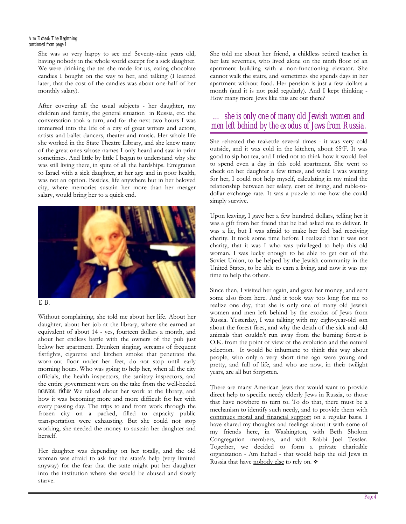#### *Am Echad: The Beginning continued from page 1*

She was so very happy to see me! Seventy-nine years old, having nobody in the whole world except for a sick daughter. We were drinking the tea she made for us, eating chocolate candies I bought on the way to her, and talking (I learned later, that the cost of the candies was about one-half of her monthly salary).

After covering all the usual subjects - her daughter, my children and family, the general situation in Russia, etc. the conversation took a turn, and for the next two hours I was immersed into the life of a city of great writers and actors, artists and ballet dancers, theater and music. Her whole life she worked in the State Theatre Library, and she knew many of the great ones whose names I only heard and saw in print sometimes. And little by little I began to understand why she was still living there, in spite of all the hardships. Emigration to Israel with a sick daughter, at her age and in poor health, was not an option. Besides, life anywhere but in her beloved city, where memories sustain her more than her meager salary, would bring her to a quick end.





Without complaining, she told me about her life. About her daughter, about her job at the library, where she earned an equivalent of about 14 - yes, fourteen dollars a month, and about her endless battle with the owners of the pub just below her apartment. Drunken singing, screams of frequent fistfights, cigarette and kitchen smoke that penetrate the worn-out floor under her feet, do not stop until early morning hours. Who was going to help her, when all the city officials, the health inspectors, the sanitary inspectors, and the entire government were on the take from the well-heeled *nouveau riche*? We talked about her work at the library, and how it was becoming more and more difficult for her with every passing day. The trips to and from work through the frozen city on a packed, filled to capacity public transportation were exhausting. But she could not stop working, she needed the money to sustain her daughter and herself.

Her daughter was depending on her totally, and the old woman was afraid to ask for the state's help (very limited anyway) for the fear that the state might put her daughter into the institution where she would be abused and slowly starve.

She told me about her friend, a childless retired teacher in her late seventies, who lived alone on the ninth floor of an apartment building with a non-functioning elevator. She cannot walk the stairs, and sometimes she spends days in her apartment without food. Her pension is just a few dollars a month (and it is not paid regularly). And I kept thinking - How many more Jews like this are out there?

#### *… she is only one of many old Jewish women and men left behind by the exodus of Jews from Russia.*

She reheated the teakettle several times - it was very cold outside, and it was cold in the kitchen, about 65◦ F. It was good to sip hot tea, and I tried not to think how it would feel to spend even a day in this cold apartment. She went to check on her daughter a few times, and while I was waiting for her, I could not help myself, calculating in my mind the relationship between her salary, cost of living, and ruble-todollar exchange rate. It was a puzzle to me how she could simply survive.

Upon leaving, I gave her a few hundred dollars, telling her it was a gift from her friend that he had asked me to deliver. It was a lie, but I was afraid to make her feel bad receiving charity. It took some time before I realized that it was not charity, that it was I who was privileged to help this old woman. I was lucky enough to be able to get out of the Soviet Union, to be helped by the Jewish community in the United States, to be able to earn a living, and now it was my time to help the others.

Since then, I visited her again, and gave her money, and sent some also from here. And it took way too long for me to realize one day, that she is only one of many old Jewish women and men left behind by the exodus of Jews from Russia. Yesterday, I was talking with my eight-year-old son about the forest fires, and why the death of the sick and old animals that couldn't run away from the burning forest is O.K. from the point of view of the evolution and the natural selection. It would be inhumane to think this way about people, who only a very short time ago were young and pretty, and full of life, and who are now, in their twilight years, are all but forgotten.

There are many American Jews that would want to provide direct help to specific needy elderly Jews in Russia, to those that have nowhere to turn to. To do that, there must be a mechanism to identify such needy, and to provide them with continues moral and financial support on a regular basis. I have shared my thoughts and feelings about it with some of my friends here, in Washington, with Beth Sholom Congregation members, and with Rabbi Joel Tessler. Together, we decided to form a private charitable organization - Am Echad - that would help the old Jews in Russia that have nobody else to rely on.  $\cdot$